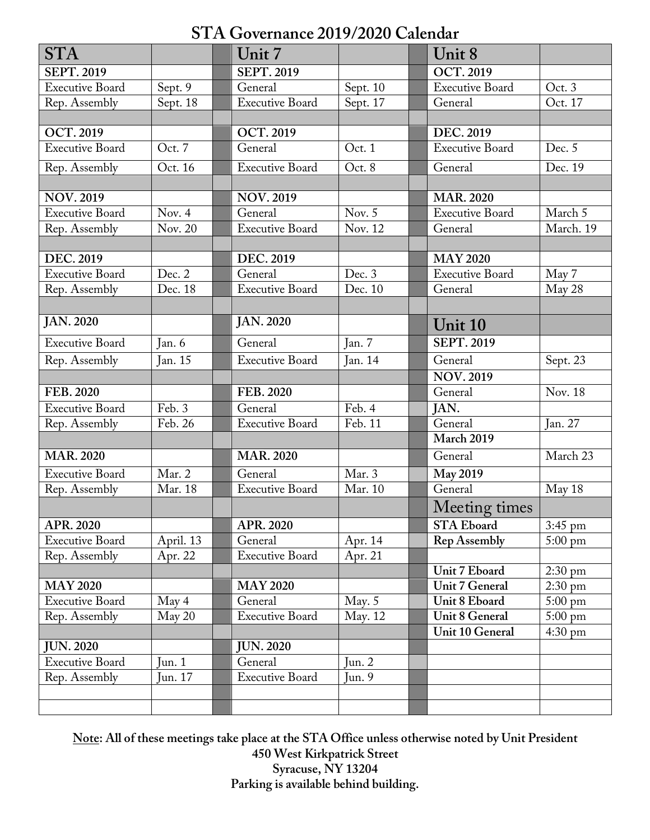# **STA Governance 2019/2020 Calendar**

| <b>STA</b>             |           | Unit 7                 |                     | Unit 8                 |                   |
|------------------------|-----------|------------------------|---------------------|------------------------|-------------------|
| <b>SEPT. 2019</b>      |           | <b>SEPT. 2019</b>      |                     | <b>OCT.2019</b>        |                   |
| <b>Executive Board</b> | Sept. 9   | General                | Sept. 10            | <b>Executive Board</b> | Oct. 3            |
| Rep. Assembly          | Sept. 18  | <b>Executive Board</b> | Sept. 17            | General                | Oct. 17           |
|                        |           |                        |                     |                        |                   |
| <b>OCT.2019</b>        |           | <b>OCT. 2019</b>       |                     | <b>DEC. 2019</b>       |                   |
| <b>Executive Board</b> | Oct. 7    | General                | Oct. 1              | <b>Executive Board</b> | Dec. 5            |
| Rep. Assembly          | Oct. 16   | <b>Executive Board</b> | Oct. 8              | General                | Dec. 19           |
|                        |           |                        |                     |                        |                   |
| NOV. 2019              |           | <b>NOV. 2019</b>       |                     | <b>MAR. 2020</b>       |                   |
| <b>Executive Board</b> | Nov. 4    | General                | Nov. $\overline{5}$ | <b>Executive Board</b> | March 5           |
| Rep. Assembly          | Nov. 20   | <b>Executive Board</b> | Nov. 12             | General                | March. 19         |
|                        |           |                        |                     |                        |                   |
| DEC. 2019              |           | DEC. 2019              |                     | <b>MAY 2020</b>        |                   |
| <b>Executive Board</b> | Dec. 2    | General                | Dec. 3              | <b>Executive Board</b> | May 7             |
| Rep. Assembly          | Dec. 18   | <b>Executive Board</b> | Dec. 10             | General                | May 28            |
|                        |           |                        |                     |                        |                   |
| <b>JAN. 2020</b>       |           | <b>JAN. 2020</b>       |                     | Unit 10                |                   |
| <b>Executive Board</b> | Jan. 6    | General                | Jan. 7              | <b>SEPT. 2019</b>      |                   |
| Rep. Assembly          | Jan. 15   | <b>Executive Board</b> | Jan. 14             | General                | Sept. 23          |
|                        |           |                        |                     | <b>NOV.2019</b>        |                   |
| FEB. 2020              |           | FEB. 2020              |                     | General                | Nov. 18           |
| <b>Executive Board</b> | Feb. 3    | General                | Feb. 4              | JAN.                   |                   |
| Rep. Assembly          | Feb. 26   | <b>Executive Board</b> | Feb. 11             | General                | Jan. 27           |
|                        |           |                        |                     | March 2019             |                   |
| <b>MAR. 2020</b>       |           | <b>MAR. 2020</b>       |                     | General                | March 23          |
| <b>Executive Board</b> | Mar. 2    | General                | Mar. 3              | <b>May 2019</b>        |                   |
| Rep. Assembly          | Mar. 18   | <b>Executive Board</b> | Mar. 10             | General                | May 18            |
|                        |           |                        |                     | Meeting times          |                   |
| <b>APR. 2020</b>       |           | APR. 2020              |                     | <b>STA Eboard</b>      | $3:45$ pm         |
| <b>Executive Board</b> | April. 13 | General                | Apr. 14             | <b>Rep Assembly</b>    | $5:00 \text{ pm}$ |
| Rep. Assembly          | Apr. 22   | <b>Executive Board</b> | Apr. 21             |                        |                   |
|                        |           |                        |                     | Unit 7 Eboard          | $2:30 \text{ pm}$ |
| <b>MAY 2020</b>        |           | <b>MAY 2020</b>        |                     | <b>Unit 7 General</b>  | $2:30$ pm         |
| <b>Executive Board</b> | May 4     | General                | May. $5$            | Unit 8 Eboard          | $5:00 \text{ pm}$ |
| Rep. Assembly          | May 20    | <b>Executive Board</b> | May. 12             | <b>Unit 8 General</b>  | $5:00 \text{ pm}$ |
|                        |           |                        |                     | Unit 10 General        | $4:30 \text{ pm}$ |
| <b>JUN. 2020</b>       |           | <b>JUN. 2020</b>       |                     |                        |                   |
| <b>Executive Board</b> | Jun. $1$  | General                | Jun. $2$            |                        |                   |
| Rep. Assembly          | Jun. 17   | <b>Executive Board</b> | Jun. $9$            |                        |                   |
|                        |           |                        |                     |                        |                   |
|                        |           |                        |                     |                        |                   |

**Note: All of these meetings take place at the STA Office unless otherwise noted by Unit President 450 West Kirkpatrick Street Syracuse, NY 13204 Parking is available behind building.**